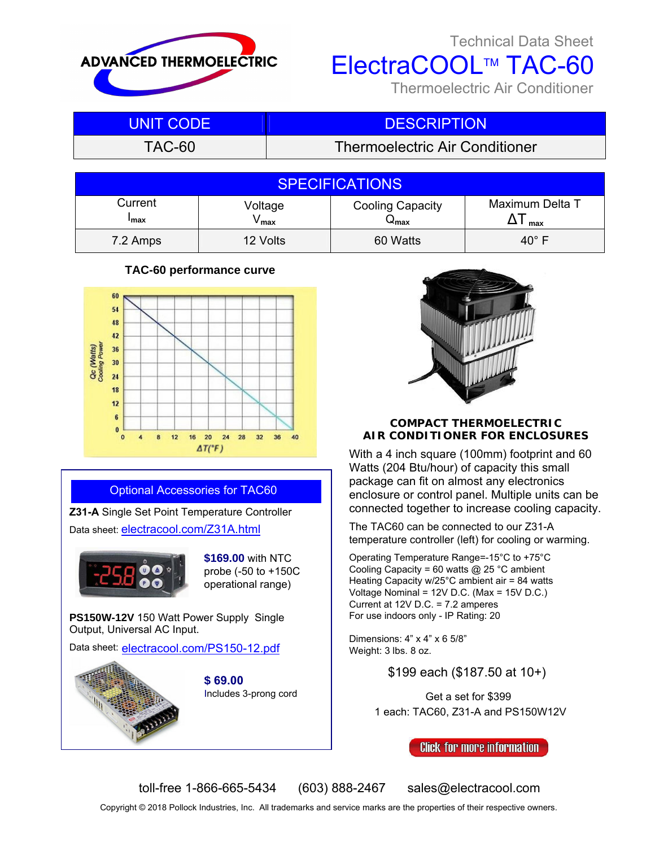

## Technical Data Sheet

ElectraCOOL™ TAC-60

Thermoelectric Air Conditioner

| UNIT CODE | <b>DESCRIPTION</b>                    |
|-----------|---------------------------------------|
| TAC-60    | <b>Thermoelectric Air Conditioner</b> |

|                        |                  | <b>SPECIFICATIONS</b>             |                        |
|------------------------|------------------|-----------------------------------|------------------------|
| Current<br><b>Imax</b> | Voltage<br>∕ max | <b>Cooling Capacity</b><br>ื้≁max | Maximum Delta T<br>max |
| 7.2 Amps               | 12 Volts         | 60 Watts                          | $40^{\circ}$ F         |

## **TAC-60 performance curve**



## Optional Accessories for TAC60

**Z31-A** Single Set Point Temperature Controller Data sheet: [electracool.com/Z31A.html](https://www.electracool.com/Z31A.html)



**\$169.00** with NTC probe (-50 to +150C operational range)

**PS150W-12V** 150 Watt Power Supply Single Output, Universal AC Input.

Data sheet: [electracool.com/PS150-12.pdf](https://electracool.com/PS150-12.pdf)



**\$ 69.00** Includes 3-prong cord



## **COMPACT THERMOELECTRIC AIR CONDITIONER FOR ENCLOSURES**

With a 4 inch square (100mm) footprint and 60 Watts (204 Btu/hour) of capacity this small package can fit on almost any electronics enclosure or control panel. Multiple units can be connected together to increase cooling capacity.

The TAC60 can be connected to our Z31-A temperature controller (left) for cooling or warming.

Operating Temperature Range=-15°C to +75°C Cooling Capacity = 60 watts @ 25 °C ambient Heating Capacity w/25°C ambient air = 84 watts Voltage Nominal = 12V D.C. (Max = 15V D.C.) Current at 12V D.C. = 7.2 amperes For use indoors only - IP Rating: 20

Dimensions: 4" x 4" x 6 5/8" Weight: 3 lbs. 8 oz.

\$199 each (\$187.50 at 10+)

Get a set for \$399 1 each: TAC60, Z31-A and PS150W12V

**Click for more information** 

toll-free 1-866-665-5434 (603) 888-2467 sales@electracool.com

Copyright © 2018 Pollock Industries, Inc. All trademarks and service marks are the properties of their respective owners.